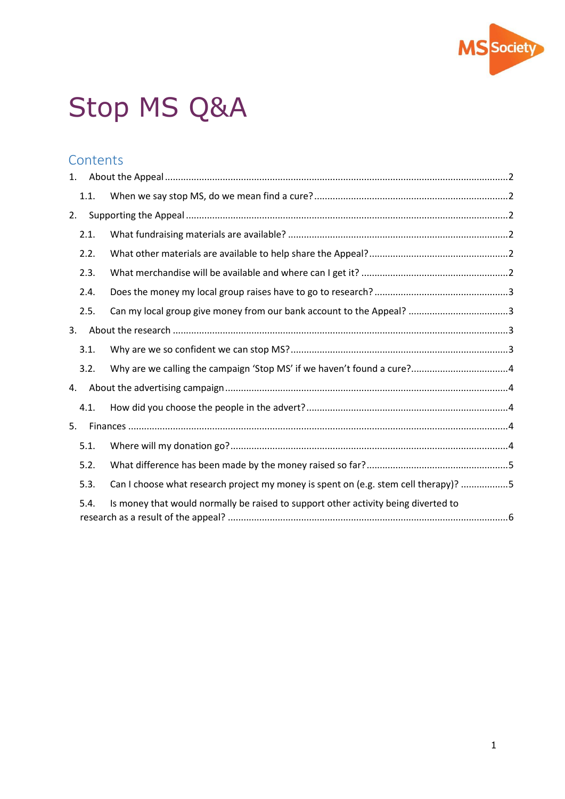

# Stop MS Q&A

## **Contents**

| 1. |      |                                                                                     |  |
|----|------|-------------------------------------------------------------------------------------|--|
|    | 1.1. |                                                                                     |  |
| 2. |      |                                                                                     |  |
|    | 2.1. |                                                                                     |  |
|    | 2.2. |                                                                                     |  |
|    | 2.3. |                                                                                     |  |
|    | 2.4. |                                                                                     |  |
|    | 2.5. |                                                                                     |  |
| 3. |      |                                                                                     |  |
|    | 3.1. |                                                                                     |  |
|    | 3.2. |                                                                                     |  |
| 4. |      |                                                                                     |  |
|    | 4.1. |                                                                                     |  |
| 5. |      |                                                                                     |  |
|    | 5.1. |                                                                                     |  |
|    | 5.2. |                                                                                     |  |
|    | 5.3. | Can I choose what research project my money is spent on (e.g. stem cell therapy)? 5 |  |
|    | 5.4. | Is money that would normally be raised to support other activity being diverted to  |  |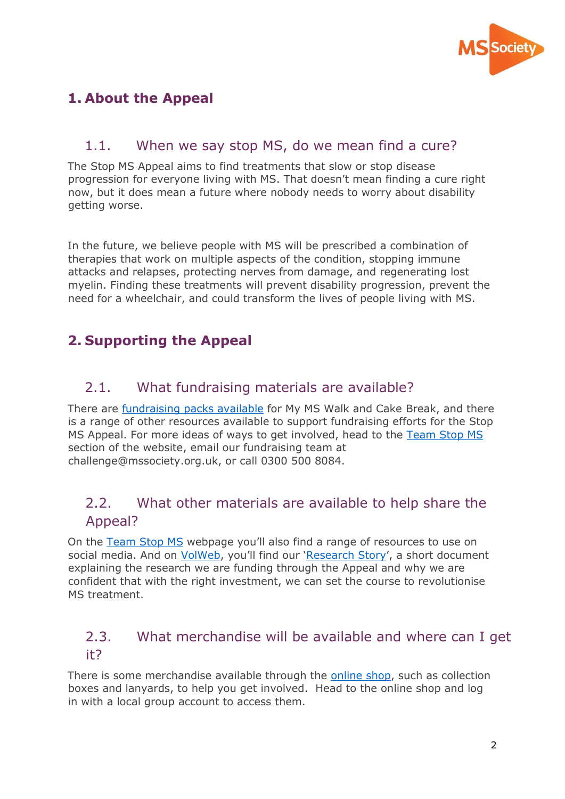

# <span id="page-1-0"></span>**1. About the Appeal**

## <span id="page-1-1"></span>1.1. When we say stop MS, do we mean find a cure?

The Stop MS Appeal aims to find treatments that slow or stop disease progression for everyone living with MS. That doesn't mean finding a cure right now, but it does mean a future where nobody needs to worry about disability getting worse.

In the future, we believe people with MS will be prescribed a combination of therapies that work on multiple aspects of the condition, stopping immune attacks and relapses, protecting nerves from damage, and regenerating lost myelin. Finding these treatments will prevent disability progression, prevent the need for a wheelchair, and could transform the lives of people living with MS.

## <span id="page-1-2"></span>**2. Supporting the Appeal**

## <span id="page-1-3"></span>2.1. What fundraising materials are available?

There are **fundraising packs available** for My MS Walk and Cake Break, and there is a range of other resources available to support fundraising efforts for the Stop MS Appeal. For more ideas of ways to get involved, head to the [Team Stop MS](https://www.mssociety.org.uk/get-involved/fundraise/stop-ms/team-stop-ms) section of the website, email our fundraising team at challenge@mssociety.org.uk, or call 0300 500 8084.

## <span id="page-1-4"></span>2.2. What other materials are available to help share the Appeal?

On the [Team Stop MS](https://www.mssociety.org.uk/get-involved/fundraise/stop-ms/team-stop-ms) webpage you'll also find a range of resources to use on social media. And on [VolWeb](https://volunteers.mssociety.org.uk/stop-MS-appeal#resources), you'll find our '[Research Story](https://volunteers.mssociety.org.uk/resources/stop-ms-research-story)', a short document explaining the research we are funding through the Appeal and why we are confident that with the right investment, we can set the course to revolutionise MS treatment.

## <span id="page-1-5"></span>2.3. What merchandise will be available and where can I get it?

There is some merchandise available through the [online shop,](https://mss.ecgroup.net/) such as collection boxes and lanyards, to help you get involved. Head to the online shop and log in with a local group account to access them.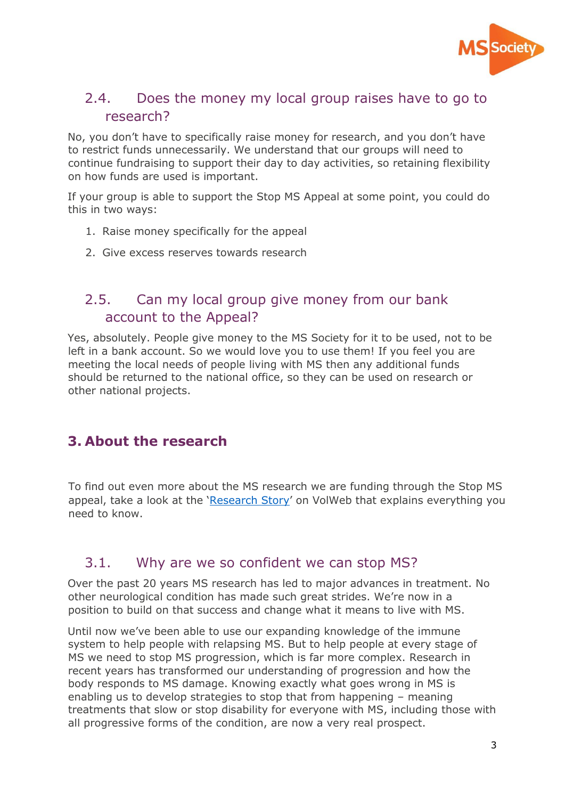

## <span id="page-2-0"></span>2.4. Does the money my local group raises have to go to research?

No, you don't have to specifically raise money for research, and you don't have to restrict funds unnecessarily. We understand that our groups will need to continue fundraising to support their day to day activities, so retaining flexibility on how funds are used is important.

If your group is able to support the Stop MS Appeal at some point, you could do this in two ways:

- 1. Raise money specifically for the appeal
- 2. Give excess reserves towards research

## <span id="page-2-1"></span>2.5. Can my local group give money from our bank account to the Appeal?

Yes, absolutely. People give money to the MS Society for it to be used, not to be left in a bank account. So we would love you to use them! If you feel you are meeting the local needs of people living with MS then any additional funds should be returned to the national office, so they can be used on research or other national projects.

#### <span id="page-2-2"></span>**3. About the research**

To find out even more about the MS research we are funding through the Stop MS appeal, take a look at the '[Research Story](https://volunteers.mssociety.org.uk/resources/stop-ms-research-story)' on VolWeb that explains everything you need to know.

#### <span id="page-2-3"></span>3.1. Why are we so confident we can stop MS?

Over the past 20 years MS research has led to major advances in treatment. No other neurological condition has made such great strides. We're now in a position to build on that success and change what it means to live with MS.

Until now we've been able to use our expanding knowledge of the immune system to help people with relapsing MS. But to help people at every stage of MS we need to stop MS progression, which is far more complex. Research in recent years has transformed our understanding of progression and how the body responds to MS damage. Knowing exactly what goes wrong in MS is enabling us to develop strategies to stop that from happening – meaning treatments that slow or stop disability for everyone with MS, including those with all progressive forms of the condition, are now a very real prospect.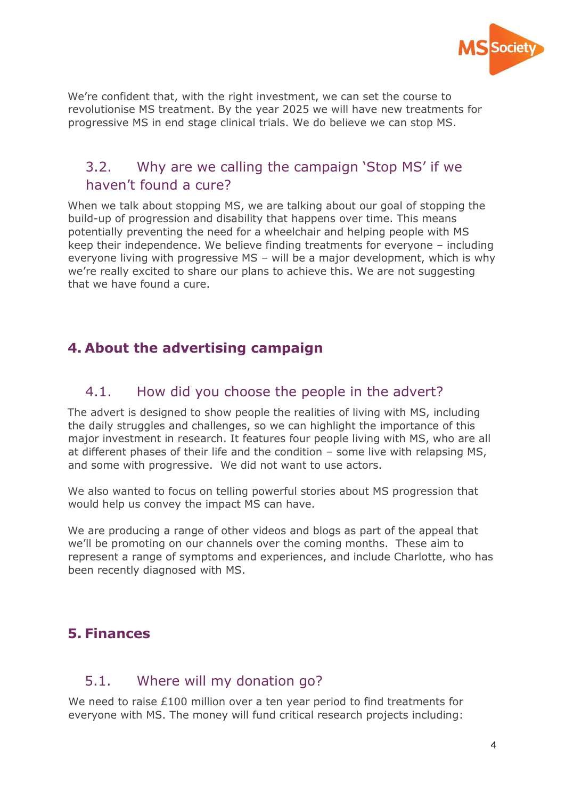

We're confident that, with the right investment, we can set the course to revolutionise MS treatment. By the year 2025 we will have new treatments for progressive MS in end stage clinical trials. We do believe we can stop MS.

## <span id="page-3-0"></span>3.2. Why are we calling the campaign 'Stop MS' if we haven't found a cure?

When we talk about stopping MS, we are talking about our goal of stopping the build-up of progression and disability that happens over time. This means potentially preventing the need for a wheelchair and helping people with MS keep their independence. We believe finding treatments for everyone – including everyone living with progressive MS – will be a major development, which is why we're really excited to share our plans to achieve this. We are not suggesting that we have found a cure.

## <span id="page-3-1"></span>**4. About the advertising campaign**

#### <span id="page-3-2"></span>4.1. How did you choose the people in the advert?

The advert is designed to show people the realities of living with MS, including the daily struggles and challenges, so we can highlight the importance of this major investment in research. It features four people living with MS, who are all at different phases of their life and the condition – some live with relapsing MS, and some with progressive. We did not want to use actors.

We also wanted to focus on telling powerful stories about MS progression that would help us convey the impact MS can have.

We are producing a range of other videos and blogs as part of the appeal that we'll be promoting on our channels over the coming months. These aim to represent a range of symptoms and experiences, and include Charlotte, who has been recently diagnosed with MS.

## <span id="page-3-3"></span>**5. Finances**

## <span id="page-3-4"></span>5.1. Where will my donation go?

We need to raise £100 million over a ten year period to find treatments for everyone with MS. The money will fund critical research projects including: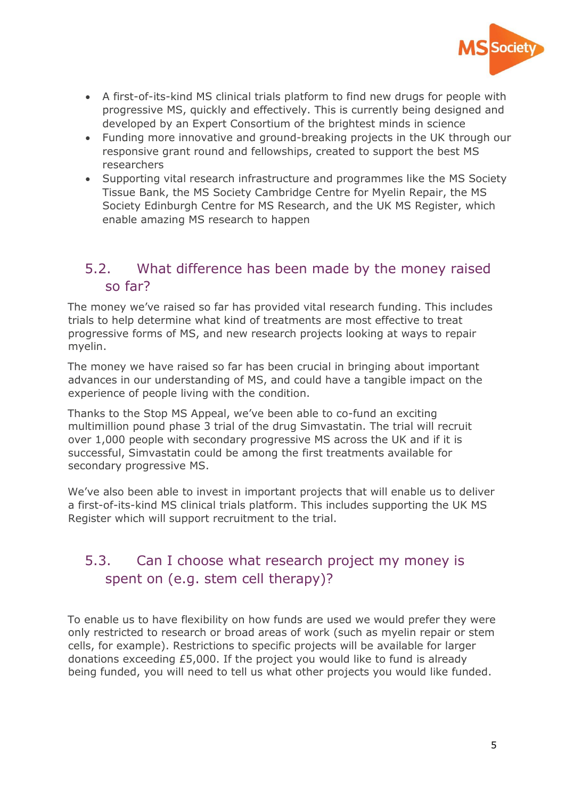

- A first-of-its-kind MS clinical trials platform to find new drugs for people with progressive MS, quickly and effectively. This is currently being designed and developed by an Expert Consortium of the brightest minds in science
- Funding more innovative and ground-breaking projects in the UK through our responsive grant round and fellowships, created to support the best MS researchers
- Supporting vital research infrastructure and programmes like the MS Society Tissue Bank, the MS Society Cambridge Centre for Myelin Repair, the MS Society Edinburgh Centre for MS Research, and the UK MS Register, which enable amazing MS research to happen

## <span id="page-4-0"></span>5.2. What difference has been made by the money raised so far?

The money we've raised so far has provided vital research funding. This includes trials to help determine what kind of treatments are most effective to treat progressive forms of MS, and new research projects looking at ways to repair myelin.

The money we have raised so far has been crucial in bringing about important advances in our understanding of MS, and could have a tangible impact on the experience of people living with the condition.

Thanks to the Stop MS Appeal, we've been able to co-fund an exciting multimillion pound phase 3 trial of the drug Simvastatin. The trial will recruit over 1,000 people with secondary progressive MS across the UK and if it is successful, Simvastatin could be among the first treatments available for secondary progressive MS.

We've also been able to invest in important projects that will enable us to deliver a first-of-its-kind MS clinical trials platform. This includes supporting the UK MS Register which will support recruitment to the trial.

## <span id="page-4-1"></span>5.3. Can I choose what research project my money is spent on (e.g. stem cell therapy)?

To enable us to have flexibility on how funds are used we would prefer they were only restricted to research or broad areas of work (such as myelin repair or stem cells, for example). Restrictions to specific projects will be available for larger donations exceeding £5,000. If the project you would like to fund is already being funded, you will need to tell us what other projects you would like funded.